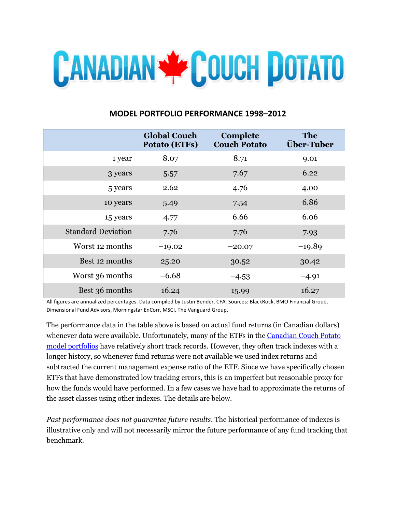

# **MODEL PORTFOLIO PERFORMANCE 1998–2012**

|                           | <b>Global Couch</b><br><b>Potato (ETFs)</b> | Complete<br><b>Couch Potato</b> | <b>The</b><br><b>Über-Tuber</b> |
|---------------------------|---------------------------------------------|---------------------------------|---------------------------------|
| 1 year                    | 8.07                                        | 8.71                            | 9.01                            |
| 3 years                   | 5.57                                        | 7.67                            | 6.22                            |
| 5 years                   | 2.62                                        | 4.76                            | 4.00                            |
| 10 years                  | 5.49                                        | 7.54                            | 6.86                            |
| 15 years                  | 4.77                                        | 6.66                            | 6.06                            |
| <b>Standard Deviation</b> | 7.76                                        | 7.76                            | 7.93                            |
| Worst 12 months           | $-19.02$                                    | $-20.07$                        | $-19.89$                        |
| Best 12 months            | 25.20                                       | 30.52                           | 30.42                           |
| Worst 36 months           | $-6.68$                                     | $-4.53$                         | $-4.91$                         |
| Best 36 months            | 16.24                                       | 15.99                           | 16.27                           |

All figures are annualized percentages. Data compiled by Justin Bender, CFA. Sources: BlackRock, BMO Financial Group, Dimensional Fund Advisors, Morningstar EnCorr, MSCI, The Vanguard Group.

The performance data in the table above is based on actual fund returns (in Canadian dollars) whenever data were available. Unfortunately, many of the ETFs in the [Canadian Couch Potato](http://canadiancouchpotato.com/model-portfolios/)  [model portfolios](http://canadiancouchpotato.com/model-portfolios/) have relatively short track records. However, they often track indexes with a longer history, so whenever fund returns were not available we used index returns and subtracted the current management expense ratio of the ETF. Since we have specifically chosen ETFs that have demonstrated low tracking errors, this is an imperfect but reasonable proxy for how the funds would have performed. In a few cases we have had to approximate the returns of the asset classes using other indexes. The details are below.

*Past performance does not guarantee future results*. The historical performance of indexes is illustrative only and will not necessarily mirror the future performance of any fund tracking that benchmark.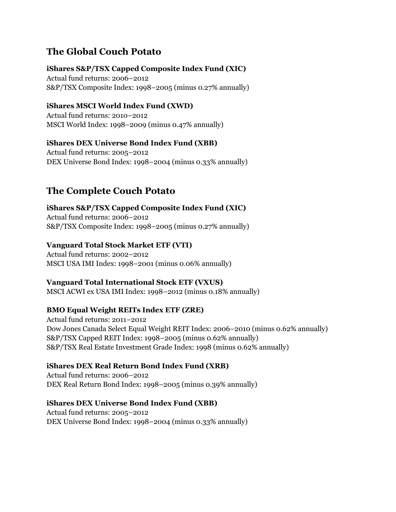# **The Global Couch Potato**

## **iShares S&P/TSX Capped Composite Index Fund (XIC)**

Actual fund returns: 2006–2012 S&P/TSX Composite Index: 1998–2005 (minus 0.27% annually)

## **iShares MSCI World Index Fund (XWD)**

Actual fund returns: 2010–2012 MSCI World Index: 1998–2009 (minus 0.47% annually)

## **iShares DEX Universe Bond Index Fund (XBB)**

Actual fund returns: 2005–2012 DEX Universe Bond Index: 1998–2004 (minus 0.33% annually)

# **The Complete Couch Potato**

**iShares S&P/TSX Capped Composite Index Fund (XIC)** Actual fund returns: 2006–2012 S&P/TSX Composite Index: 1998–2005 (minus 0.27% annually)

## **Vanguard Total Stock Market ETF (VTI)**

Actual fund returns: 2002–2012 MSCI USA IMI Index: 1998–2001 (minus 0.06% annually)

#### **Vanguard Total International Stock ETF (VXUS)**

MSCI ACWI ex USA IMI Index: 1998–2012 (minus 0.18% annually)

# **BMO Equal Weight REITs Index ETF (ZRE)**

Actual fund returns: 2011–2012 Dow Jones Canada Select Equal Weight REIT Index: 2006–2010 (minus 0.62% annually) S&P/TSX Capped REIT Index: 1998–2005 (minus 0.62% annually) S&P/TSX Real Estate Investment Grade Index: 1998 (minus 0.62% annually)

# **iShares DEX Real Return Bond Index Fund (XRB)**

Actual fund returns: 2006–2012 DEX Real Return Bond Index: 1998–2005 (minus 0.39% annually)

#### **iShares DEX Universe Bond Index Fund (XBB)**

Actual fund returns: 2005–2012 DEX Universe Bond Index: 1998–2004 (minus 0.33% annually)